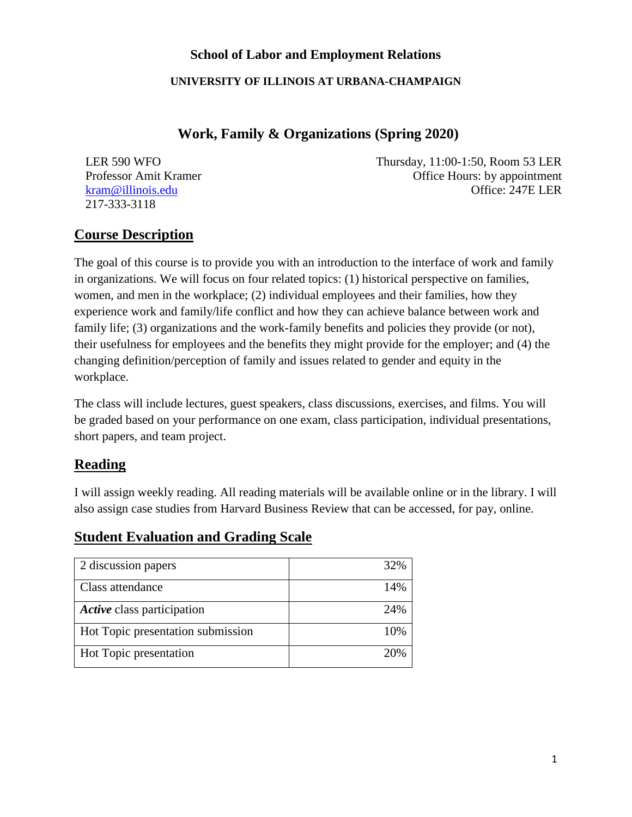## **School of Labor and Employment Relations**

#### **UNIVERSITY OF ILLINOIS AT URBANA-CHAMPAIGN**

## **Work, Family & Organizations (Spring 2020)**

217-333-3118

LER 590 WFO Thursday, 11:00-1:50, Room 53 LER Professor Amit Kramer Office Hours: by appointment [kram@illinois.edu](mailto:kram@illinois.edu) Office: 247E LER

# **Course Description**

The goal of this course is to provide you with an introduction to the interface of work and family in organizations. We will focus on four related topics: (1) historical perspective on families, women, and men in the workplace; (2) individual employees and their families, how they experience work and family/life conflict and how they can achieve balance between work and family life; (3) organizations and the work-family benefits and policies they provide (or not), their usefulness for employees and the benefits they might provide for the employer; and (4) the changing definition/perception of family and issues related to gender and equity in the workplace.

The class will include lectures, guest speakers, class discussions, exercises, and films. You will be graded based on your performance on one exam, class participation, individual presentations, short papers, and team project.

## **Reading**

I will assign weekly reading. All reading materials will be available online or in the library. I will also assign case studies from Harvard Business Review that can be accessed, for pay, online.

## **Student Evaluation and Grading Scale**

| 2 discussion papers               | 32% |
|-----------------------------------|-----|
| Class attendance                  | 14% |
| Active class participation        | 24% |
| Hot Topic presentation submission | 10% |
| Hot Topic presentation            | 20% |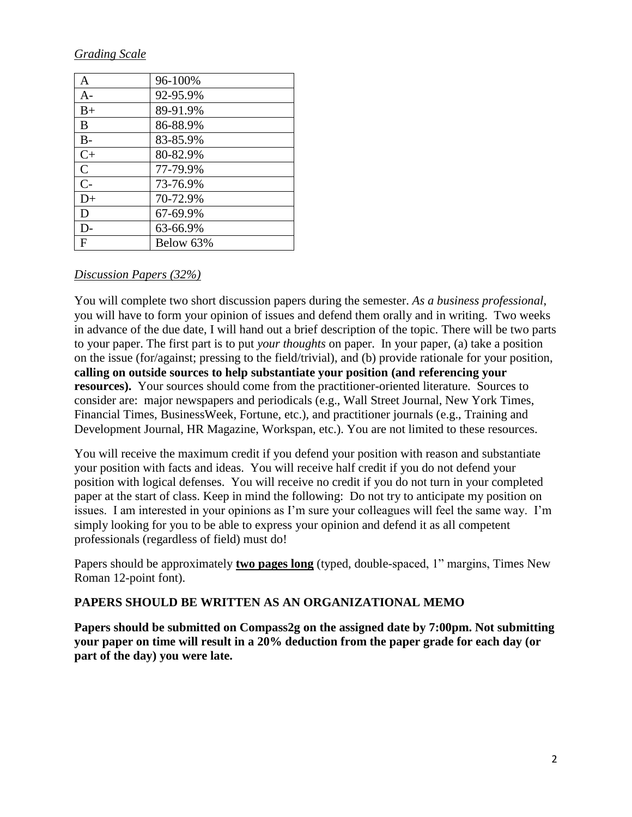#### *Grading Scale*

| A              | 96-100%   |
|----------------|-----------|
| $A-$           | 92-95.9%  |
| $B+$           | 89-91.9%  |
| B              | 86-88.9%  |
| $B -$          | 83-85.9%  |
| $C+$           | 80-82.9%  |
| $\mathcal{C}$  | 77-79.9%  |
| $\overline{C}$ | 73-76.9%  |
| $D+$           | 70-72.9%  |
| D              | 67-69.9%  |
| D-             | 63-66.9%  |
| F              | Below 63% |

#### *Discussion Papers (32%)*

You will complete two short discussion papers during the semester. *As a business professional*, you will have to form your opinion of issues and defend them orally and in writing. Two weeks in advance of the due date, I will hand out a brief description of the topic. There will be two parts to your paper. The first part is to put *your thoughts* on paper. In your paper, (a) take a position on the issue (for/against; pressing to the field/trivial), and (b) provide rationale for your position, **calling on outside sources to help substantiate your position (and referencing your resources).** Your sources should come from the practitioner-oriented literature. Sources to consider are: major newspapers and periodicals (e.g., Wall Street Journal, New York Times, Financial Times, BusinessWeek, Fortune, etc.), and practitioner journals (e.g., Training and Development Journal, HR Magazine, Workspan, etc.). You are not limited to these resources.

You will receive the maximum credit if you defend your position with reason and substantiate your position with facts and ideas. You will receive half credit if you do not defend your position with logical defenses. You will receive no credit if you do not turn in your completed paper at the start of class. Keep in mind the following: Do not try to anticipate my position on issues. I am interested in your opinions as I'm sure your colleagues will feel the same way. I'm simply looking for you to be able to express your opinion and defend it as all competent professionals (regardless of field) must do!

Papers should be approximately **two pages long** (typed, double-spaced, 1" margins, Times New Roman 12-point font).

#### **PAPERS SHOULD BE WRITTEN AS AN ORGANIZATIONAL MEMO**

**Papers should be submitted on Compass2g on the assigned date by 7:00pm. Not submitting your paper on time will result in a 20% deduction from the paper grade for each day (or part of the day) you were late.**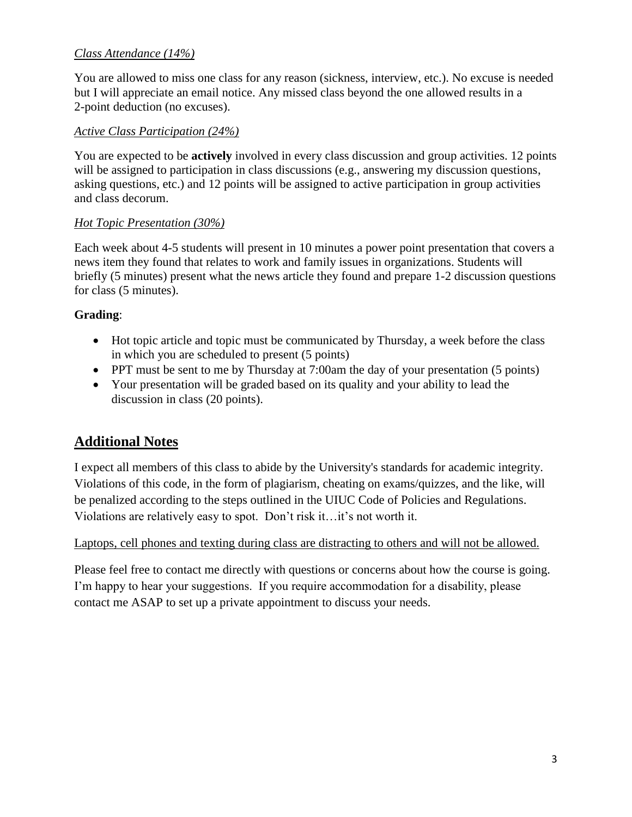## *Class Attendance (14%)*

You are allowed to miss one class for any reason (sickness, interview, etc.). No excuse is needed but I will appreciate an email notice. Any missed class beyond the one allowed results in a 2-point deduction (no excuses).

### *Active Class Participation (24%)*

You are expected to be **actively** involved in every class discussion and group activities. 12 points will be assigned to participation in class discussions (e.g., answering my discussion questions, asking questions, etc.) and 12 points will be assigned to active participation in group activities and class decorum.

### *Hot Topic Presentation (30%)*

Each week about 4-5 students will present in 10 minutes a power point presentation that covers a news item they found that relates to work and family issues in organizations. Students will briefly (5 minutes) present what the news article they found and prepare 1-2 discussion questions for class (5 minutes).

### **Grading**:

- Hot topic article and topic must be communicated by Thursday, a week before the class in which you are scheduled to present (5 points)
- PPT must be sent to me by Thursday at 7:00am the day of your presentation (5 points)
- Your presentation will be graded based on its quality and your ability to lead the discussion in class (20 points).

# **Additional Notes**

I expect all members of this class to abide by the University's standards for academic integrity. Violations of this code, in the form of plagiarism, cheating on exams/quizzes, and the like, will be penalized according to the steps outlined in the UIUC Code of Policies and Regulations. Violations are relatively easy to spot. Don't risk it…it's not worth it.

#### Laptops, cell phones and texting during class are distracting to others and will not be allowed.

Please feel free to contact me directly with questions or concerns about how the course is going. I'm happy to hear your suggestions. If you require accommodation for a disability, please contact me ASAP to set up a private appointment to discuss your needs.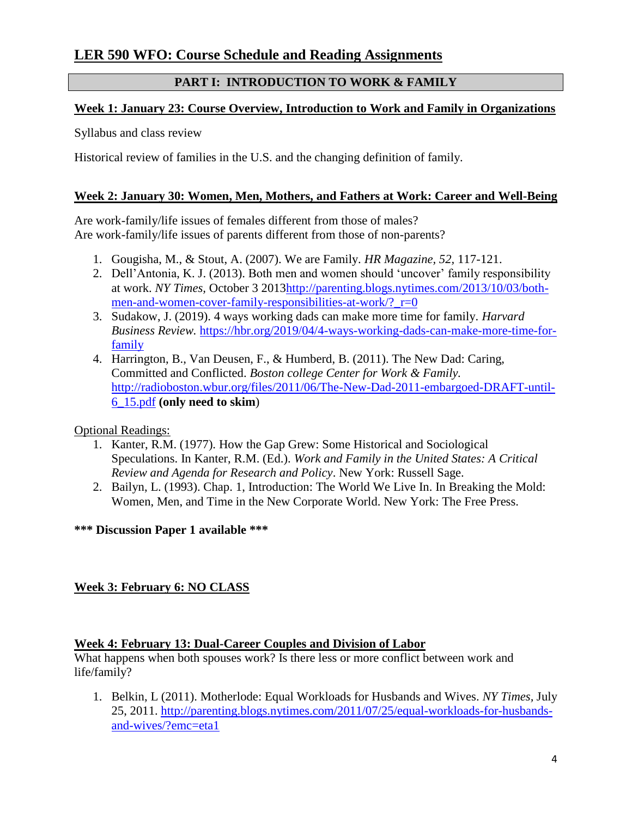## **PART I: INTRODUCTION TO WORK & FAMILY**

## **Week 1: January 23: Course Overview, Introduction to Work and Family in Organizations**

Syllabus and class review

Historical review of families in the U.S. and the changing definition of family.

## **Week 2: January 30: Women, Men, Mothers, and Fathers at Work: Career and Well-Being**

Are work-family/life issues of females different from those of males? Are work-family/life issues of parents different from those of non-parents?

- 1. Gougisha, M., & Stout, A. (2007). We are Family. *HR Magazine, 52,* 117-121.
- 2. Dell'Antonia, K. J. (2013). Both men and women should 'uncover' family responsibility at work. *NY Times,* October 3 201[3http://parenting.blogs.nytimes.com/2013/10/03/both](http://parenting.blogs.nytimes.com/2013/10/03/both-men-and-women-cover-family-responsibilities-at-work/?_r=0)men-and-women-cover-family-responsibilities-at-work/?  $r=0$
- 3. Sudakow, J. (2019). 4 ways working dads can make more time for family. *Harvard Business Review.* [https://hbr.org/2019/04/4-ways-working-dads-can-make-more-time-for](https://hbr.org/2019/04/4-ways-working-dads-can-make-more-time-for-family)[family](https://hbr.org/2019/04/4-ways-working-dads-can-make-more-time-for-family)
- 4. Harrington, B., Van Deusen, F., & Humberd, B. (2011). The New Dad: Caring, Committed and Conflicted. *Boston college Center for Work & Family.* [http://radioboston.wbur.org/files/2011/06/The-New-Dad-2011-embargoed-DRAFT-until-](http://radioboston.wbur.org/files/2011/06/The-New-Dad-2011-embargoed-DRAFT-until-6_15.pdf)[6\\_15.pdf](http://radioboston.wbur.org/files/2011/06/The-New-Dad-2011-embargoed-DRAFT-until-6_15.pdf) **(only need to skim**)

## Optional Readings:

- 1. Kanter, R.M. (1977). How the Gap Grew: Some Historical and Sociological Speculations. In Kanter, R.M. (Ed.). *Work and Family in the United States: A Critical Review and Agenda for Research and Policy*. New York: Russell Sage.
- 2. Bailyn, L. (1993). Chap. 1, Introduction: The World We Live In. In Breaking the Mold: Women, Men, and Time in the New Corporate World. New York: The Free Press.

## **\*\*\* Discussion Paper 1 available \*\*\***

## **Week 3: February 6: NO CLASS**

## **Week 4: February 13: Dual-Career Couples and Division of Labor**

What happens when both spouses work? Is there less or more conflict between work and life/family?

1. Belkin, L (2011). Motherlode: Equal Workloads for Husbands and Wives. *NY Times,* July 25, 2011. [http://parenting.blogs.nytimes.com/2011/07/25/equal-workloads-for-husbands](http://parenting.blogs.nytimes.com/2011/07/25/equal-workloads-for-husbands-and-wives/?emc=eta1)[and-wives/?emc=eta1](http://parenting.blogs.nytimes.com/2011/07/25/equal-workloads-for-husbands-and-wives/?emc=eta1)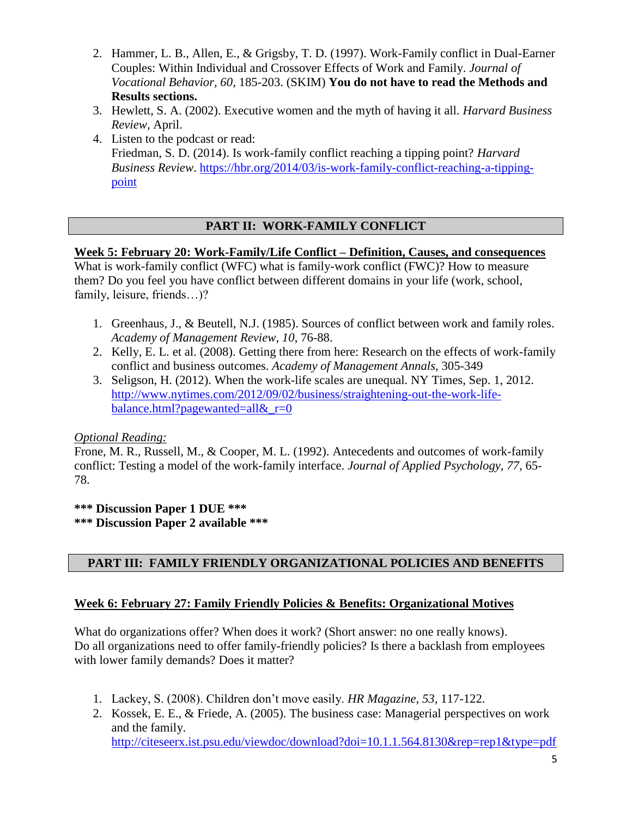- 2. Hammer, L. B., Allen, E., & Grigsby, T. D. (1997). Work-Family conflict in Dual-Earner Couples: Within Individual and Crossover Effects of Work and Family. *Journal of Vocational Behavior, 60,* 185-203. (SKIM) **You do not have to read the Methods and Results sections.**
- 3. Hewlett, S. A. (2002). Executive women and the myth of having it all. *Harvard Business Review,* April.
- 4. Listen to the podcast or read: Friedman, S. D. (2014). Is work-family conflict reaching a tipping point? *Harvard Business Review*. [https://hbr.org/2014/03/is-work-family-conflict-reaching-a-tipping](https://hbr.org/2014/03/is-work-family-conflict-reaching-a-tipping-point)[point](https://hbr.org/2014/03/is-work-family-conflict-reaching-a-tipping-point)

## **PART II: WORK-FAMILY CONFLICT**

### **Week 5: February 20: Work-Family/Life Conflict – Definition, Causes, and consequences**

What is work-family conflict (WFC) what is family-work conflict (FWC)? How to measure them? Do you feel you have conflict between different domains in your life (work, school, family, leisure, friends…)?

- 1. Greenhaus, J., & Beutell, N.J. (1985). Sources of conflict between work and family roles. *Academy of Management Review, 10*, 76-88.
- 2. Kelly, E. L. et al. (2008). Getting there from here: Research on the effects of work-family conflict and business outcomes. *Academy of Management Annals,* 305-349
- 3. Seligson, H. (2012). When the work-life scales are unequal. NY Times, Sep. 1, 2012. [http://www.nytimes.com/2012/09/02/business/straightening-out-the-work-life](http://www.nytimes.com/2012/09/02/business/straightening-out-the-work-life-balance.html?pagewanted=all&_r=0)[balance.html?pagewanted=all&\\_r=0](http://www.nytimes.com/2012/09/02/business/straightening-out-the-work-life-balance.html?pagewanted=all&_r=0)

#### *Optional Reading:*

Frone, M. R., Russell, M., & Cooper, M. L. (1992). Antecedents and outcomes of work-family conflict: Testing a model of the work-family interface. *Journal of Applied Psychology, 77,* 65- 78.

**\*\*\* Discussion Paper 1 DUE \*\*\* \*\*\* Discussion Paper 2 available \*\*\***

## **PART III: FAMILY FRIENDLY ORGANIZATIONAL POLICIES AND BENEFITS**

#### **Week 6: February 27: Family Friendly Policies & Benefits: Organizational Motives**

What do organizations offer? When does it work? (Short answer: no one really knows). Do all organizations need to offer family-friendly policies? Is there a backlash from employees with lower family demands? Does it matter?

- 1. Lackey, S. (2008). Children don't move easily. *HR Magazine, 53,* 117-122.
- 2. Kossek, E. E., & Friede, A. (2005). The business case: Managerial perspectives on work and the family. <http://citeseerx.ist.psu.edu/viewdoc/download?doi=10.1.1.564.8130&rep=rep1&type=pdf>